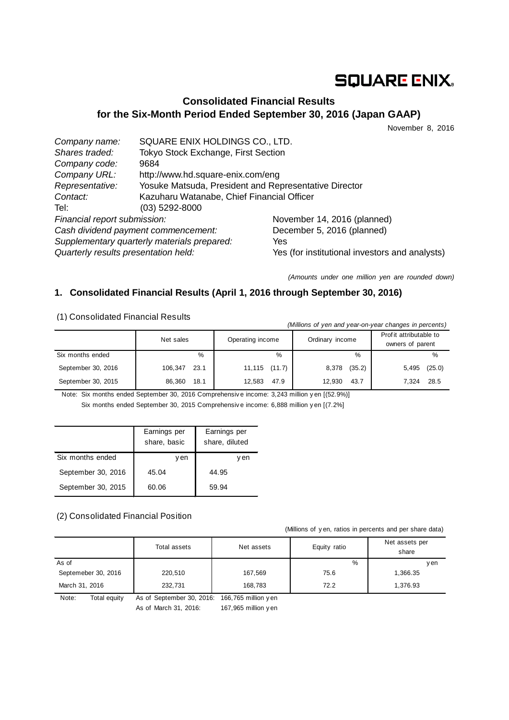# **SQUARE ENIX.**

# **Consolidated Financial Results for the Six-Month Period Ended September 30, 2016 (Japan GAAP)**

November 8, 2016

| Company name:                               | SQUARE ENIX HOLDINGS CO., LTD.                        |                                                |
|---------------------------------------------|-------------------------------------------------------|------------------------------------------------|
| Shares traded:                              | Tokyo Stock Exchange, First Section                   |                                                |
| Company code:                               | 9684                                                  |                                                |
| Company URL:                                | http://www.hd.square-enix.com/eng                     |                                                |
| Representative:                             | Yosuke Matsuda, President and Representative Director |                                                |
| Contact:                                    | Kazuharu Watanabe, Chief Financial Officer            |                                                |
| Tel:                                        | $(03)$ 5292-8000                                      |                                                |
| Financial report submission:                |                                                       | November 14, 2016 (planned)                    |
| Cash dividend payment commencement:         |                                                       | December 5, 2016 (planned)                     |
| Supplementary quarterly materials prepared: |                                                       | Yes                                            |
| Quarterly results presentation held:        |                                                       | Yes (for institutional investors and analysts) |

*(Amounts under one million yen are rounded down)*

# **1. Consolidated Financial Results (April 1, 2016 through September 30, 2016)**

(1) Consolidated Financial Results

| (Millions of yen and year-on-year changes in percents) |                 |                  |                 |                                             |  |  |
|--------------------------------------------------------|-----------------|------------------|-----------------|---------------------------------------------|--|--|
|                                                        | Net sales       | Operating income | Ordinary income | Prof it attributable to<br>owners of parent |  |  |
| Six months ended                                       | $\%$            | %                | %               | %                                           |  |  |
| September 30, 2016                                     | 23.1<br>106,347 | 11,115 (11.7)    | (35.2)<br>8,378 | (25.0)<br>5,495                             |  |  |
| September 30, 2015                                     | 86.360<br>18.1  | 47.9<br>12,583   | 12.930<br>43.7  | 28.5<br>7.324                               |  |  |

Note: Six months ended September 30, 2016 Comprehensiv e income: 3,243 million y en [(52.9%)] Six months ended September 30, 2015 Comprehensiv e income: 6,888 million y en [(7.2%]

|                    | Earnings per<br>share, basic | Earnings per<br>share, diluted |
|--------------------|------------------------------|--------------------------------|
| Six months ended   | v en                         | en                             |
| September 30, 2016 | 45.04                        | 44.95                          |
| September 30, 2015 | 60.06                        | 59.94                          |

#### (2) Consolidated Financial Position

(Millions of y en, ratios in percents and per share data)

|                       | Total assets                                   | Net assets | Equity ratio | Net assets per<br>share |
|-----------------------|------------------------------------------------|------------|--------------|-------------------------|
| As of                 |                                                |            | %            | v en                    |
| Septemeber 30, 2016   | 220,510                                        | 167,569    | 75.6         | 1,366.35                |
| March 31, 2016        | 232,731                                        | 168,783    | 72.2         | 1.376.93                |
| Note:<br>Total equity | As of September 30, 2016: 166, 765 million yen |            |              |                         |

As of March 31, 2016: 167,965 million y en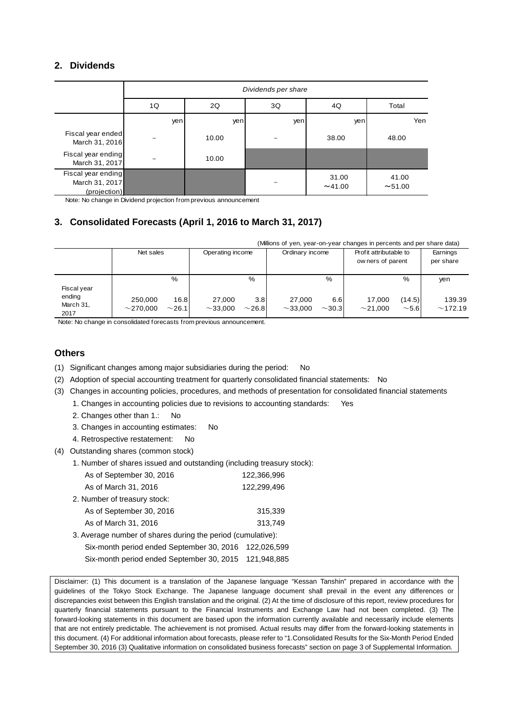### **2. Dividends**

|                                                      | Dividends per share |                         |     |               |                |  |  |
|------------------------------------------------------|---------------------|-------------------------|-----|---------------|----------------|--|--|
|                                                      | 1Q                  | 2Q<br>3Q<br>Total<br>4Q |     |               |                |  |  |
|                                                      | yen                 | yen                     | yen | yen           | Yen            |  |  |
| Fiscal year ended<br>March 31, 2016                  |                     | 10.00                   |     | 38.00         | 48.00          |  |  |
| Fiscal year ending<br>March 31, 2017                 |                     | 10.00                   |     |               |                |  |  |
| Fiscal year ending<br>March 31, 2017<br>(projection) |                     |                         |     | 31.00<br>~100 | 41.00<br>~1.00 |  |  |

Note: No change in Dividend projection from previous announcement

# **3. Consolidated Forecasts (April 1, 2016 to March 31, 2017)**

|                             | (Millions of yen, year-on-year changes in percents and per share data) |                     |                         |                    |                         |                    |                                            |                      |                       |
|-----------------------------|------------------------------------------------------------------------|---------------------|-------------------------|--------------------|-------------------------|--------------------|--------------------------------------------|----------------------|-----------------------|
|                             | Net sales                                                              |                     | Operating income        |                    | Ordinary income         |                    | Profit attributable to<br>owners of parent |                      | Earnings<br>per share |
| Fiscal year                 |                                                                        | %                   |                         | %                  |                         | %                  |                                            | %                    | yen                   |
| ending<br>March 31,<br>2017 | 250.000<br>$\sim$ 270.000                                              | 16.8<br>$\sim$ 26.1 | 27.000<br>$\sim$ 33.000 | 3.8<br>$\sim$ 26.8 | 27.000<br>$\sim$ 33.000 | 6.6<br>$\sim$ 30.3 | 17.000<br>$\sim$ 21.000                    | (14.5)<br>$\sim$ 5.6 | 139.39<br>~172.19     |

Note: No change in consolidated forecasts from previous announcement.

#### **Others**

- (1) Significant changes among major subsidiaries during the period: No
- (2) Adoption of special accounting treatment for quarterly consolidated financial statements: No
- (3) Changes in accounting policies, procedures, and methods of presentation for consolidated financial statements
	- 1. Changes in accounting policies due to revisions to accounting standards: Yes
		- 2. Changes other than 1.: No
		- 3. Changes in accounting estimates: No
		- 4. Retrospective restatement: No
- (4) Outstanding shares (common stock)
	- 1. Number of shares issued and outstanding (including treasury stock):

| As of September 30, 2016                                    | 122,366,996 |
|-------------------------------------------------------------|-------------|
| As of March 31, 2016                                        | 122,299,496 |
| 2. Number of treasury stock:                                |             |
| As of September 30, 2016                                    | 315,339     |
| As of March 31, 2016                                        | 313,749     |
| 3. Average number of shares during the period (cumulative): |             |
| Six-month period ended September 30, 2016                   | 122,026,599 |
| Six-month period ended September 30, 2015                   | 121,948,885 |

Disclaimer: (1) This document is a translation of the Japanese language "Kessan Tanshin" prepared in accordance with the guidelines of the Tokyo Stock Exchange. The Japanese language document shall prevail in the event any differences or discrepancies exist between this English translation and the original. (2) At the time of disclosure of this report, review procedures for quarterly financial statements pursuant to the Financial Instruments and Exchange Law had not been completed. (3) The forward-looking statements in this document are based upon the information currently available and necessarily include elements that are not entirely predictable. The achievement is not promised. Actual results may differ from the forward-looking statements in this document. (4) For additional information about forecasts, please refer to "1.Consolidated Results for the Six-Month Period Ended September 30, 2016 (3) Qualitative information on consolidated business forecasts" section on page 3 of Supplemental Information.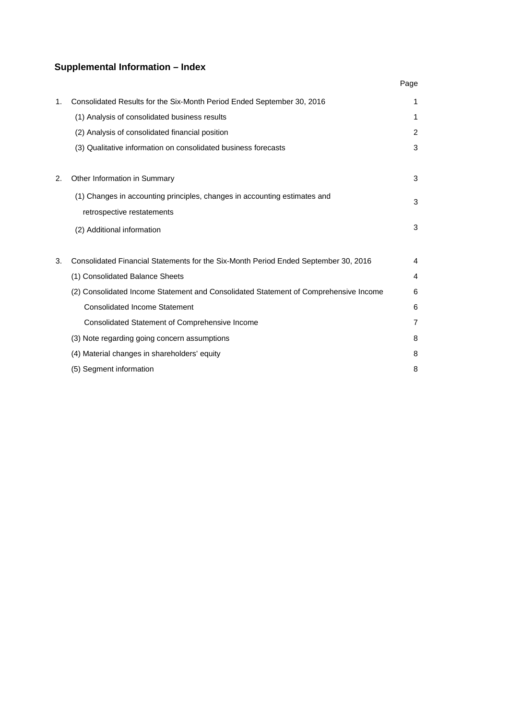# **Supplemental Information – Index**

|    |                                                                                      | Page           |
|----|--------------------------------------------------------------------------------------|----------------|
| 1. | Consolidated Results for the Six-Month Period Ended September 30, 2016               | 1              |
|    | (1) Analysis of consolidated business results                                        | 1              |
|    | (2) Analysis of consolidated financial position                                      | 2              |
|    | (3) Qualitative information on consolidated business forecasts                       | 3              |
|    |                                                                                      |                |
| 2. | Other Information in Summary                                                         | 3              |
|    | (1) Changes in accounting principles, changes in accounting estimates and            | 3              |
|    | retrospective restatements                                                           |                |
|    | (2) Additional information                                                           | 3              |
|    |                                                                                      |                |
| 3. | Consolidated Financial Statements for the Six-Month Period Ended September 30, 2016  | 4              |
|    | (1) Consolidated Balance Sheets                                                      | 4              |
|    | (2) Consolidated Income Statement and Consolidated Statement of Comprehensive Income | 6              |
|    | <b>Consolidated Income Statement</b>                                                 | 6              |
|    | Consolidated Statement of Comprehensive Income                                       | $\overline{7}$ |
|    | (3) Note regarding going concern assumptions                                         | 8              |
|    | (4) Material changes in shareholders' equity                                         | 8              |
|    | (5) Segment information                                                              | 8              |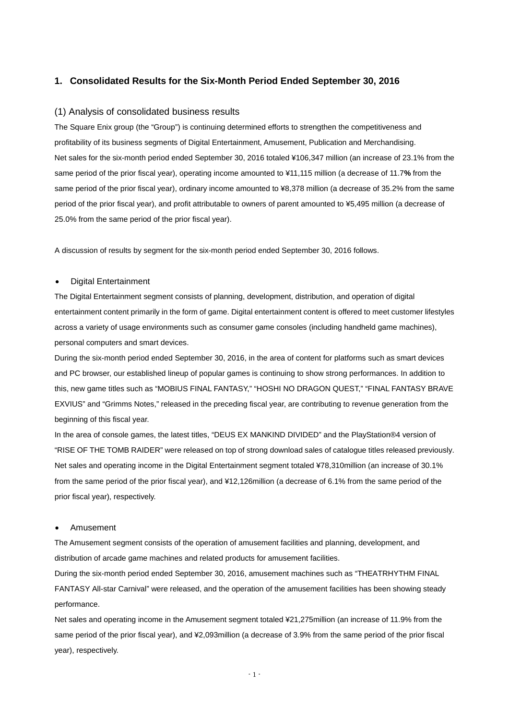#### **1. Consolidated Results for the Six-Month Period Ended September 30, 2016**

#### (1) Analysis of consolidated business results

The Square Enix group (the "Group") is continuing determined efforts to strengthen the competitiveness and profitability of its business segments of Digital Entertainment, Amusement, Publication and Merchandising. Net sales for the six-month period ended September 30, 2016 totaled ¥106,347 million (an increase of 23.1% from the same period of the prior fiscal year), operating income amounted to ¥11,115 million (a decrease of 11.7**%** from the same period of the prior fiscal year), ordinary income amounted to ¥8,378 million (a decrease of 35.2% from the same period of the prior fiscal year), and profit attributable to owners of parent amounted to ¥5,495 million (a decrease of 25.0% from the same period of the prior fiscal year).

A discussion of results by segment for the six-month period ended September 30, 2016 follows.

#### • Digital Entertainment

The Digital Entertainment segment consists of planning, development, distribution, and operation of digital entertainment content primarily in the form of game. Digital entertainment content is offered to meet customer lifestyles across a variety of usage environments such as consumer game consoles (including handheld game machines), personal computers and smart devices.

During the six-month period ended September 30, 2016, in the area of content for platforms such as smart devices and PC browser, our established lineup of popular games is continuing to show strong performances. In addition to this, new game titles such as "MOBIUS FINAL FANTASY," "HOSHI NO DRAGON QUEST," "FINAL FANTASY BRAVE EXVIUS" and "Grimms Notes," released in the preceding fiscal year, are contributing to revenue generation from the beginning of this fiscal year.

In the area of console games, the latest titles, "DEUS EX MANKIND DIVIDED" and the PlayStation®4 version of "RISE OF THE TOMB RAIDER" were released on top of strong download sales of catalogue titles released previously. Net sales and operating income in the Digital Entertainment segment totaled ¥78,310million (an increase of 30.1% from the same period of the prior fiscal year), and ¥12,126million (a decrease of 6.1% from the same period of the prior fiscal year), respectively.

#### • Amusement

The Amusement segment consists of the operation of amusement facilities and planning, development, and distribution of arcade game machines and related products for amusement facilities.

During the six-month period ended September 30, 2016, amusement machines such as "THEATRHYTHM FINAL FANTASY All-star Carnival" were released, and the operation of the amusement facilities has been showing steady performance.

Net sales and operating income in the Amusement segment totaled ¥21,275million (an increase of 11.9% from the same period of the prior fiscal year), and ¥2,093million (a decrease of 3.9% from the same period of the prior fiscal year), respectively.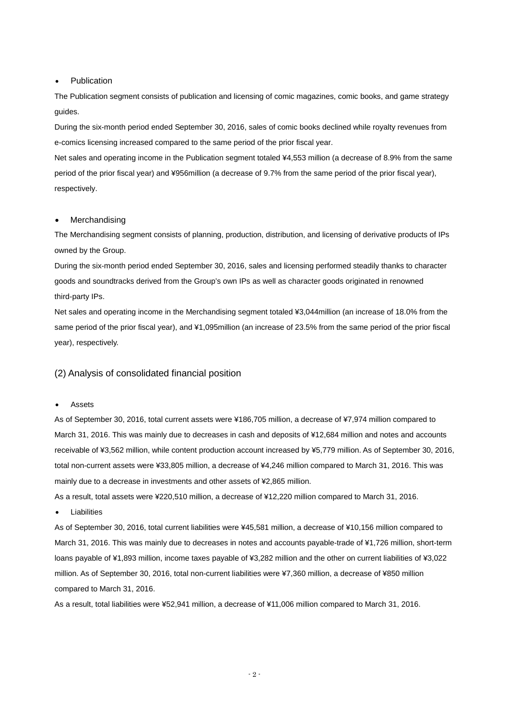#### **Publication**

The Publication segment consists of publication and licensing of comic magazines, comic books, and game strategy guides.

During the six-month period ended September 30, 2016, sales of comic books declined while royalty revenues from e-comics licensing increased compared to the same period of the prior fiscal year.

Net sales and operating income in the Publication segment totaled ¥4,553 million (a decrease of 8.9% from the same period of the prior fiscal year) and ¥956million (a decrease of 9.7% from the same period of the prior fiscal year), respectively.

#### **Merchandising**

The Merchandising segment consists of planning, production, distribution, and licensing of derivative products of IPs owned by the Group.

During the six-month period ended September 30, 2016, sales and licensing performed steadily thanks to character goods and soundtracks derived from the Group's own IPs as well as character goods originated in renowned third-party IPs.

Net sales and operating income in the Merchandising segment totaled ¥3,044million (an increase of 18.0% from the same period of the prior fiscal year), and ¥1,095million (an increase of 23.5% from the same period of the prior fiscal year), respectively.

#### (2) Analysis of consolidated financial position

#### • Assets

As of September 30, 2016, total current assets were ¥186,705 million, a decrease of ¥7,974 million compared to March 31, 2016. This was mainly due to decreases in cash and deposits of ¥12,684 million and notes and accounts receivable of ¥3,562 million, while content production account increased by ¥5,779 million. As of September 30, 2016, total non-current assets were ¥33,805 million, a decrease of ¥4,246 million compared to March 31, 2016. This was mainly due to a decrease in investments and other assets of ¥2,865 million.

As a result, total assets were ¥220,510 million, a decrease of ¥12,220 million compared to March 31, 2016.

**Liabilities** 

As of September 30, 2016, total current liabilities were ¥45,581 million, a decrease of ¥10,156 million compared to March 31, 2016. This was mainly due to decreases in notes and accounts payable-trade of ¥1,726 million, short-term loans payable of ¥1,893 million, income taxes payable of ¥3,282 million and the other on current liabilities of ¥3,022 million. As of September 30, 2016, total non-current liabilities were ¥7,360 million, a decrease of ¥850 million compared to March 31, 2016.

As a result, total liabilities were ¥52,941 million, a decrease of ¥11,006 million compared to March 31, 2016.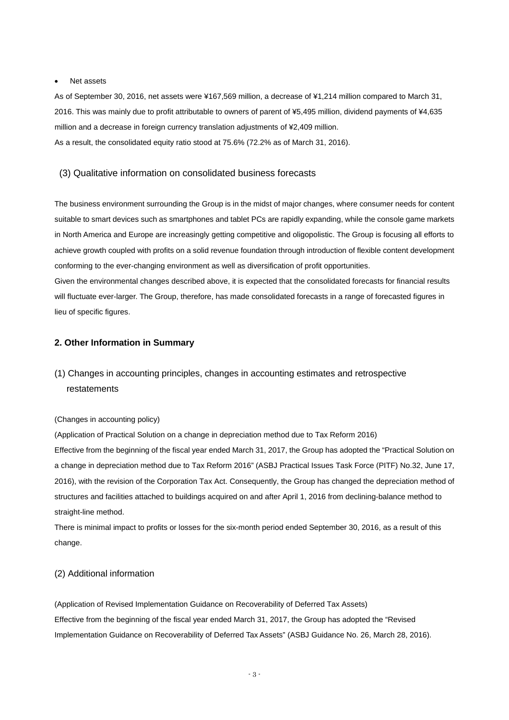#### Net assets

As of September 30, 2016, net assets were ¥167,569 million, a decrease of ¥1,214 million compared to March 31, 2016. This was mainly due to profit attributable to owners of parent of ¥5,495 million, dividend payments of ¥4,635 million and a decrease in foreign currency translation adjustments of ¥2,409 million. As a result, the consolidated equity ratio stood at 75.6% (72.2% as of March 31, 2016).

#### (3) Qualitative information on consolidated business forecasts

The business environment surrounding the Group is in the midst of major changes, where consumer needs for content suitable to smart devices such as smartphones and tablet PCs are rapidly expanding, while the console game markets in North America and Europe are increasingly getting competitive and oligopolistic. The Group is focusing all efforts to achieve growth coupled with profits on a solid revenue foundation through introduction of flexible content development conforming to the ever-changing environment as well as diversification of profit opportunities.

Given the environmental changes described above, it is expected that the consolidated forecasts for financial results will fluctuate ever-larger. The Group, therefore, has made consolidated forecasts in a range of forecasted figures in lieu of specific figures.

#### **2. Other Information in Summary**

# (1) Changes in accounting principles, changes in accounting estimates and retrospective restatements

#### (Changes in accounting policy)

(Application of Practical Solution on a change in depreciation method due to Tax Reform 2016) Effective from the beginning of the fiscal year ended March 31, 2017, the Group has adopted the "Practical Solution on a change in depreciation method due to Tax Reform 2016" (ASBJ Practical Issues Task Force (PITF) No.32, June 17, 2016), with the revision of the Corporation Tax Act. Consequently, the Group has changed the depreciation method of structures and facilities attached to buildings acquired on and after April 1, 2016 from declining-balance method to straight-line method.

There is minimal impact to profits or losses for the six-month period ended September 30, 2016, as a result of this change.

#### (2) Additional information

(Application of Revised Implementation Guidance on Recoverability of Deferred Tax Assets) Effective from the beginning of the fiscal year ended March 31, 2017, the Group has adopted the "Revised Implementation Guidance on Recoverability of Deferred Tax Assets" (ASBJ Guidance No. 26, March 28, 2016).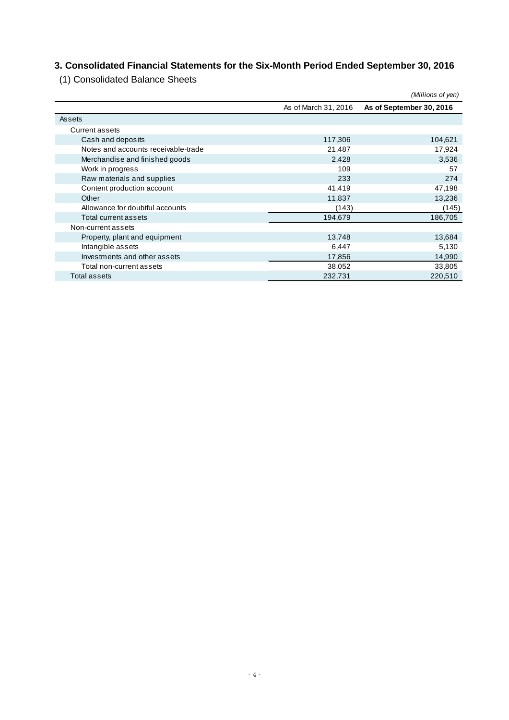# **3. Consolidated Financial Statements for the Six-Month Period Ended September 30, 2016**

(1) Consolidated Balance Sheets

|                                     |                      | (Millions of yen)        |
|-------------------------------------|----------------------|--------------------------|
|                                     | As of March 31, 2016 | As of September 30, 2016 |
| Assets                              |                      |                          |
| Current assets                      |                      |                          |
| Cash and deposits                   | 117,306              | 104,621                  |
| Notes and accounts receivable-trade | 21,487               | 17,924                   |
| Merchandise and finished goods      | 2,428                | 3,536                    |
| Work in progress                    | 109                  | 57                       |
| Raw materials and supplies          | 233                  | 274                      |
| Content production account          | 41,419               | 47,198                   |
| Other                               | 11,837               | 13,236                   |
| Allowance for doubtful accounts     | (143)                | (145)                    |
| Total current assets                | 194,679              | 186,705                  |
| Non-current assets                  |                      |                          |
| Property, plant and equipment       | 13,748               | 13,684                   |
| Intangible assets                   | 6,447                | 5,130                    |
| Investments and other assets        | 17,856               | 14,990                   |
| Total non-current assets            | 38,052               | 33,805                   |
| Total assets                        | 232,731              | 220,510                  |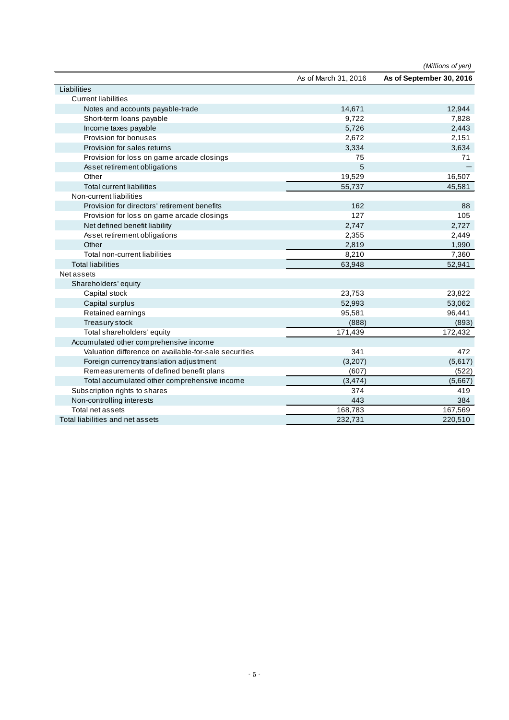|                                                       |                      | (Millions of yen)        |
|-------------------------------------------------------|----------------------|--------------------------|
|                                                       | As of March 31, 2016 | As of September 30, 2016 |
| Liabilities                                           |                      |                          |
| <b>Current liabilities</b>                            |                      |                          |
| Notes and accounts payable-trade                      | 14,671               | 12,944                   |
| Short-term loans payable                              | 9.722                | 7.828                    |
| Income taxes payable                                  | 5,726                | 2,443                    |
| Provision for bonuses                                 | 2,672                | 2,151                    |
| Provision for sales returns                           | 3,334                | 3,634                    |
| Provision for loss on game arcade closings            | 75                   | 71                       |
| Asset retirement obligations                          | 5                    |                          |
| Other                                                 | 19,529               | 16,507                   |
| <b>Total current liabilities</b>                      | 55,737               | 45,581                   |
| Non-current liabilities                               |                      |                          |
| Provision for directors' retirement benefits          | 162                  | 88                       |
| Provision for loss on game arcade closings            | 127                  | 105                      |
| Net defined benefit liability                         | 2,747                | 2,727                    |
| Asset retirement obligations                          | 2,355                | 2,449                    |
| Other                                                 | 2,819                | 1,990                    |
| Total non-current liabilities                         | 8,210                | 7,360                    |
| <b>Total liabilities</b>                              | 63,948               | 52,941                   |
| Net assets                                            |                      |                          |
| Shareholders' equity                                  |                      |                          |
| Capital stock                                         | 23,753               | 23,822                   |
| Capital surplus                                       | 52,993               | 53,062                   |
| Retained earnings                                     | 95,581               | 96,441                   |
| Treasury stock                                        | (888)                | (893)                    |
| Total shareholders' equity                            | 171,439              | 172,432                  |
| Accumulated other comprehensive income                |                      |                          |
| Valuation difference on available-for-sale securities | 341                  | 472                      |
| Foreign currency translation adjustment               | (3,207)              | (5,617)                  |
| Remeasurements of defined benefit plans               | (607)                | (522)                    |
| Total accumulated other comprehensive income          | (3, 474)             | (5,667)                  |
| Subscription rights to shares                         | 374                  | 419                      |
| Non-controlling interests                             | 443                  | 384                      |
| Total net assets                                      | 168,783              | 167,569                  |
| Total liabilities and net assets                      | 232,731              | 220,510                  |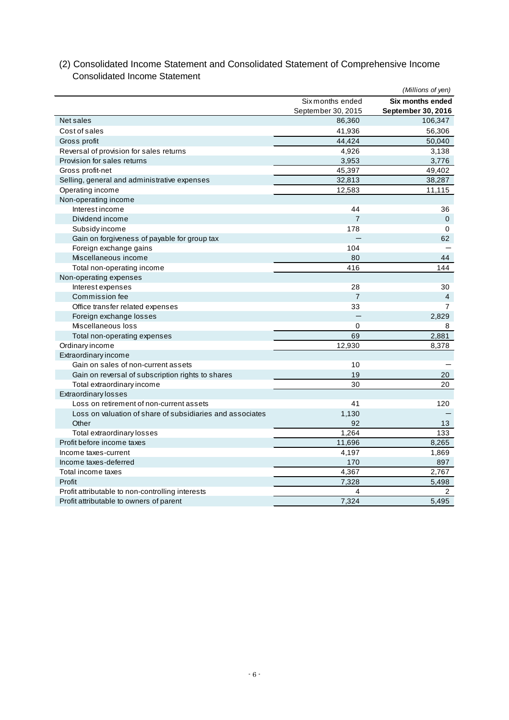|                                                           |                    | (Millions of yen)       |
|-----------------------------------------------------------|--------------------|-------------------------|
|                                                           | Six months ended   | <b>Six months ended</b> |
|                                                           | September 30, 2015 | September 30, 2016      |
| Net sales                                                 | 86,360             | 106,347                 |
| Cost of sales                                             | 41,936             | 56,306                  |
| Gross profit                                              | 44,424             | 50,040                  |
| Reversal of provision for sales returns                   | 4,926              | 3,138                   |
| Provision for sales returns                               | 3,953              | 3,776                   |
| Gross profit-net                                          | 45,397             | 49,402                  |
| Selling, general and administrative expenses              | 32,813             | 38,287                  |
| Operating income                                          | 12,583             | 11,115                  |
| Non-operating income                                      |                    |                         |
| Interest income                                           | 44                 | 36                      |
| Dividend income                                           | $\overline{7}$     | $\mathbf 0$             |
| Subsidy income                                            | 178                | $\Omega$                |
| Gain on forgiveness of payable for group tax              |                    | 62                      |
| Foreign exchange gains                                    | 104                |                         |
| Miscellaneous income                                      | 80                 | 44                      |
| Total non-operating income                                | 416                | 144                     |
| Non-operating expenses                                    |                    |                         |
| Interest expenses                                         | 28                 | 30                      |
| Commission fee                                            | $\overline{7}$     | $\overline{4}$          |
| Office transfer related expenses                          | 33                 | 7                       |
| Foreign exchange losses                                   |                    | 2,829                   |
| Miscellaneous loss                                        | $\mathbf 0$        | 8                       |
| Total non-operating expenses                              | 69                 | 2.881                   |
| Ordinary income                                           | 12,930             | 8,378                   |
| Extraordinary income                                      |                    |                         |
| Gain on sales of non-current assets                       | 10                 |                         |
| Gain on reversal of subscription rights to shares         | 19                 | 20                      |
| Total extraordinary income                                | 30                 | 20                      |
| <b>Extraordinary losses</b>                               |                    |                         |
| Loss on retirement of non-current assets                  | 41                 | 120                     |
| Loss on valuation of share of subsidiaries and associates | 1,130              |                         |
| Other                                                     | 92                 | 13                      |
| Total extraordinary losses                                | 1,264              | 133                     |
| Profit before income taxes                                | 11,696             | 8,265                   |
| Income taxes-current                                      | 4,197              | 1,869                   |
| Income taxes-deferred                                     | 170                | 897                     |
| Total income taxes                                        | 4,367              | 2,767                   |
| Profit                                                    | 7,328              | 5,498                   |
| Profit attributable to non-controlling interests          | 4                  | 2                       |
| Profit attributable to owners of parent                   | 7,324              | 5.495                   |

# (2) Consolidated Income Statement and Consolidated Statement of Comprehensive Income Consolidated Income Statement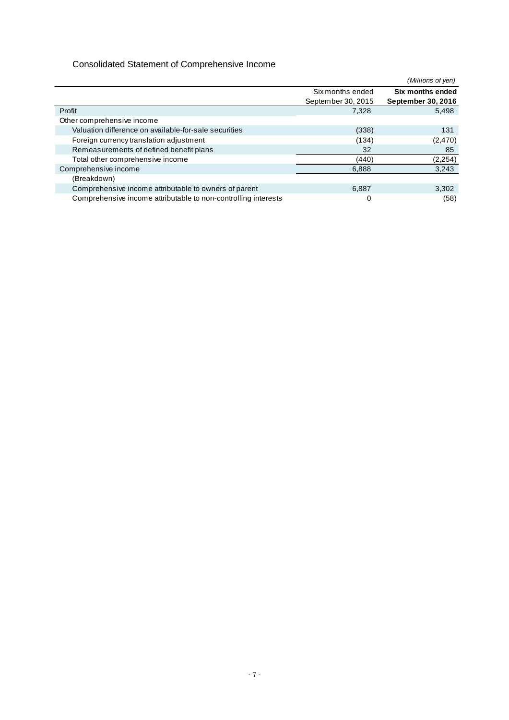# Consolidated Statement of Comprehensive Income

|                                                                |                    | (Millions of yen)  |
|----------------------------------------------------------------|--------------------|--------------------|
|                                                                | Six months ended   | Six months ended   |
|                                                                | September 30, 2015 | September 30, 2016 |
| Profit                                                         | 7,328              | 5,498              |
| Other comprehensive income                                     |                    |                    |
| Valuation difference on available-for-sale securities          | (338)              | 131                |
| Foreign currency translation adjustment                        | (134)              | (2,470)            |
| Remeasurements of defined benefit plans                        | 32                 | 85                 |
| Total other comprehensive income                               | (440)              | (2, 254)           |
| Comprehensive income                                           | 6.888              | 3,243              |
| (Breakdown)                                                    |                    |                    |
| Comprehensive income attributable to owners of parent          | 6,887              | 3,302              |
| Comprehensive income attributable to non-controlling interests | 0                  | (58)               |